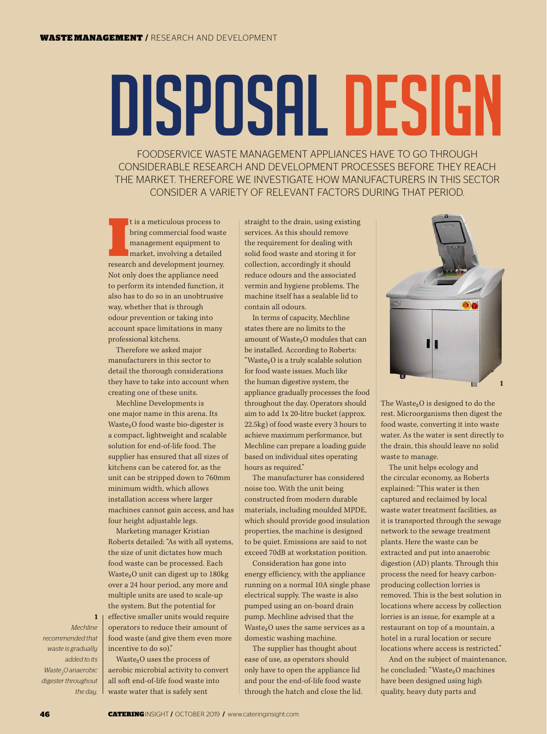## DISPOSAL DESIGN

FOODSERVICE WASTE MANAGEMENT APPLIANCES HAVE TO GO THROUGH CONSIDERABLE RESEARCH AND DEVELOPMENT PROCESSES BEFORE THEY REACH THE MARKET. THEREFORE WE INVESTIGATE HOW MANUFACTURERS IN THIS SECTOR CONSIDER A VARIETY OF RELEVANT FACTORS DURING THAT PERIOD.

In the americal spaces to the property of the management equipment to market, involving a detailed research and development journey. t is a meticulous process to bring commercial food waste management equipment to market, involving a detailed Not only does the appliance need to perform its intended function, it also has to do so in an unobtrusive way, whether that is through odour prevention or taking into account space limitations in many professional kitchens.

Therefore we asked major manufacturers in this sector to detail the thorough considerations they have to take into account when creating one of these units.

Mechline Developments is one major name in this arena. Its Waste<sub>2</sub>O food waste bio-digester is a compact, lightweight and scalable solution for end-of-life food. The supplier has ensured that all sizes of kitchens can be catered for, as the unit can be stripped down to 760mm minimum width, which allows installation access where larger machines cannot gain access, and has four height adjustable legs.

Marketing manager Kristian Roberts detailed: "As with all systems, the size of unit dictates how much food waste can be processed. Each Waste<sub>2</sub>O unit can digest up to 180kg over a 24 hour period, any more and multiple units are used to scale-up the system. But the potential for effective smaller units would require operators to reduce their amount of food waste (and give them even more incentive to do so)."

Waste $_2$ O uses the process of aerobic microbial activity to convert all soft end-of-life food waste into waste water that is safely sent

straight to the drain, using existing services. As this should remove the requirement for dealing with solid food waste and storing it for collection, accordingly it should reduce odours and the associated vermin and hygiene problems. The machine itself has a sealable lid to contain all odours.

In terms of capacity, Mechline states there are no limits to the amount of Waste<sub>2</sub>O modules that can be installed. According to Roberts: "Waste2O is a truly scalable solution for food waste issues. Much like the human digestive system, the appliance gradually processes the food throughout the day. Operators should aim to add 1x 20-litre bucket (approx. 22.5kg) of food waste every 3 hours to achieve maximum performance, but Mechline can prepare a loading guide based on individual sites operating hours as required."

The manufacturer has considered noise too. With the unit being constructed from modern durable materials, including moulded MPDE, which should provide good insulation properties, the machine is designed to be quiet. Emissions are said to not exceed 70dB at workstation position.

Consideration has gone into energy efficiency, with the appliance running on a normal 10A single phase electrical supply. The waste is also pumped using an on-board drain pump. Mechline advised that the Waste<sub>2</sub>O uses the same services as a domestic washing machine.

The supplier has thought about ease of use, as operators should only have to open the appliance lid and pour the end-of-life food waste through the hatch and close the lid.



The Waste $_2$ O is designed to do the rest. Microorganisms then digest the food waste, converting it into waste water. As the water is sent directly to the drain, this should leave no solid waste to manage.

The unit helps ecology and the circular economy, as Roberts explained: "This water is then captured and reclaimed by local waste water treatment facilities, as it is transported through the sewage network to the sewage treatment plants. Here the waste can be extracted and put into anaerobic digestion (AD) plants. Through this process the need for heavy carbonproducing collection lorries is removed. This is the best solution in locations where access by collection lorries is an issue, for example at a restaurant on top of a mountain, a hotel in a rural location or secure locations where access is restricted."

And on the subject of maintenance, he concluded: "Waste<sub>2</sub>O machines have been designed using high quality, heavy duty parts and

*Mechline recommended that waste is gradually added to its Waste2 O anaerobic digester throughout the day.*

1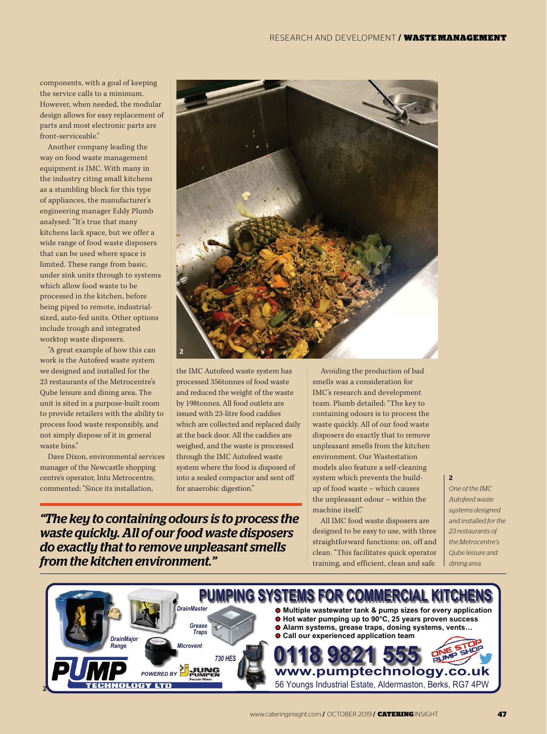components, with a goal of keeping the service calls to a minimum. However, when needed, the modular design allows for easy replacement of parts and most electronic parts are front-serviceable."

Another company leading the way on food waste management equipment is IMC. With many in the industry citing small kitchens as a stumbling block for this type of appliances, the manufacturer's engineering manager Eddy Plumb analysed: "It's true that many kitchens lack space, but we offer a wide range of food waste disposers that can be used where space is limited. These range from basic, under sink units through to systems which allow food waste to be processed in the kitchen, before being piped to remote, industrialsized, auto-fed units. Other options include trough and integrated worktop waste disposers.

"A great example of how this can work is the Autofeed waste system we designed and installed for the 23 restaurants of the Metrocentre's Qube leisure and dining area. The unit is sited in a purpose-built room to provide retailers with the ability to process food waste responsibly, and not simply dispose of it in general waste bins."

Dave Dixon, environmental services manager of the Newcastle shopping centre's operator, Intu Metrocentre, commented: "Since its installation,



the IMC Autofeed waste system has processed 356tonnes of food waste and reduced the weight of the waste by 198tonnes. All food outlets are issued with 23-litre food caddies which are collected and replaced daily at the back door. All the caddies are weighed, and the waste is processed through the IMC Autofeed waste system where the food is disposed of into a sealed compactor and sent off for anaerobic digestion."

*"The key to containing odours is to process the waste quickly. All of our food waste disposers do exactly that to remove unpleasant smells from the kitchen environment."*

Avoiding the production of bad smells was a consideration for IMC's research and development team. Plumb detailed: "The key to containing odours is to process the waste quickly. All of our food waste disposers do exactly that to remove unpleasant smells from the kitchen environment. Our Wastestation models also feature a self-cleaning system which prevents the buildup of food waste – which causes the unpleasant odour – within the machine itself."

All IMC food waste disposers are designed to be easy to use, with three straightforward functions: on, off and clean. "This facilitates quick operator training, and efficient, clean and safe

## 2

*One of the IMC Autofeed waste systems designed and installed for the 23 restaurants of the Metrocentre's Qube leisure and dining area.*